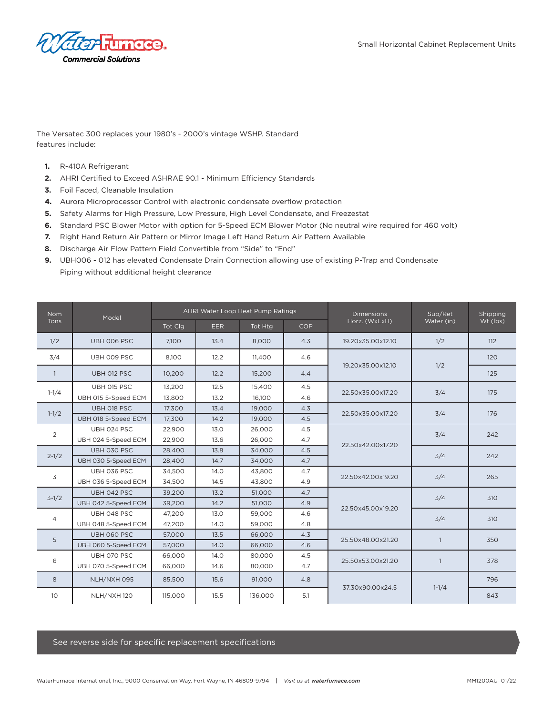

The Versatec 300 replaces your 1980's - 2000's vintage WSHP. Standard features include:

- **1.** R-410A Refrigerant
- **2.** AHRI Certified to Exceed ASHRAE 90.1 Minimum Efficiency Standards
- **3.** Foil Faced, Cleanable Insulation
- **4.** Aurora Microprocessor Control with electronic condensate overflow protection
- **5.** Safety Alarms for High Pressure, Low Pressure, High Level Condensate, and Freezestat
- **6.** Standard PSC Blower Motor with option for 5-Speed ECM Blower Motor (No neutral wire required for 460 volt)
- **7.** Right Hand Return Air Pattern or Mirror Image Left Hand Return Air Pattern Available
- **8.** Discharge Air Flow Pattern Field Convertible from "Side" to "End"
- **9.** UBH006 012 has elevated Condensate Drain Connection allowing use of existing P-Trap and Condensate Piping without additional height clearance

| <b>Nom</b><br><b>Tons</b> | Model               | AHRI Water Loop Heat Pump Ratings |            |         |            | <b>Dimensions</b> | Sup/Ret        | Shipping |  |
|---------------------------|---------------------|-----------------------------------|------------|---------|------------|-------------------|----------------|----------|--|
|                           |                     | Tot Clg                           | <b>EER</b> | Tot Htg | <b>COP</b> | Horz. (WxLxH)     | Water (in)     | Wt (lbs) |  |
| 1/2                       | UBH 006 PSC         | 7.100                             | 13.4       | 8.000   | 4.3        | 19.20x35.00x12.10 | 1/2            | 112      |  |
| 3/4                       | UBH 009 PSC         | 8.100                             | 12.2       | 11.400  | 4.6        |                   |                | 120      |  |
| $\overline{1}$            | UBH 012 PSC         | 10,200                            | 12.2       | 15,200  | 4.4        | 19.20x35.00x12.10 | 1/2            | 125      |  |
| $1 - 1/4$                 | UBH 015 PSC         | 13,200                            | 12.5       | 15,400  | 4.5        | 22.50x35.00x17.20 | 3/4            | 175      |  |
|                           | UBH 015 5-Speed ECM | 13,800                            | 13.2       | 16,100  | 4.6        |                   |                |          |  |
| $1 - 1/2$                 | UBH 018 PSC         | 17,300                            | 13.4       | 19,000  | 4.3        | 22.50x35.00x17.20 | 3/4            | 176      |  |
|                           | UBH 018 5-Speed ECM | 17,300                            | 14.2       | 19,000  | 4.5        |                   |                |          |  |
| 2                         | UBH 024 PSC         | 22.900                            | 13.0       | 26,000  | 4.5        |                   | 3/4            | 242      |  |
|                           | UBH 024 5-Speed ECM | 22,900                            | 13.6       | 26.000  | 4.7        | 22.50x42.00x17.20 |                |          |  |
| $2 - 1/2$                 | UBH 030 PSC         | 28,400                            | 13.8       | 34.000  | 4.5        |                   | 3/4            | 242      |  |
|                           | UBH 030 5-Speed ECM | 28,400                            | 14.7       | 34,000  | 4.7        |                   |                |          |  |
| 3                         | UBH 036 PSC         | 34,500                            | 14.0       | 43,800  | 4.7        | 22.50x42.00x19.20 | 3/4            | 265      |  |
|                           | UBH 036 5-Speed ECM | 34,500                            | 14.5       | 43.800  | 4.9        |                   |                |          |  |
| $3-1/2$                   | UBH 042 PSC         | 39,200                            | 13.2       | 51,000  | 4.7        |                   | 3/4            | 310      |  |
|                           | UBH 042 5-Speed ECM | 39,200                            | 14.2       | 51,000  | 4.9        | 22.50x45.00x19.20 |                |          |  |
| 4                         | UBH 048 PSC         | 47.200                            | 13.0       | 59.000  | 4.6        |                   | 3/4            | 310      |  |
|                           | UBH 048 5-Speed ECM | 47,200                            | 14.0       | 59,000  | 4.8        |                   |                |          |  |
| 5                         | UBH 060 PSC         | 57,000                            | 13.5       | 66,000  | 4.3        | 25.50x48.00x21.20 | $\overline{1}$ | 350      |  |
|                           | UBH 060 5-Speed ECM | 57,000                            | 14.0       | 66,000  | 4.6        |                   |                |          |  |
| 6                         | UBH 070 PSC         | 66,000                            | 14.0       | 80,000  | 4.5        | 25.50x53.00x21.20 | $\overline{1}$ | 378      |  |
|                           | UBH 070 5-Speed ECM | 66,000                            | 14.6       | 80,000  | 4.7        |                   |                |          |  |
| 8                         | NLH/NXH 095         | 85,500                            | 15.6       | 91,000  | 4.8        | 37.30x90.00x24.5  |                | 796      |  |
| 10                        | NLH/NXH 120         | 115,000                           | 15.5       | 136,000 | 5.1        |                   | $1 - 1/4$      | 843      |  |

## See reverse side for specific replacement specifications